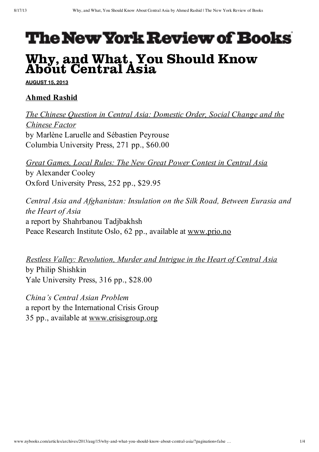## **The New York Review of Books**

## Why, and What, You Should Know About Central Asia

**[AUGUST](http://www.nybooks.com/issues/2013/aug/15/) 15, 2013**

## **[Ahmed](http://www.nybooks.com/contributors/ahmed-rashid/) Rashid**

*The Chinese Question in Central Asia: [Domestic](http://www.amazon.com/gp/product/1849041792?ie=UTF8&tag=thneyoreofbo-20&linkCode=as2&camp=1789&creative=9325&creativeASIN=1849041792) Order, Social Change and the Chinese Factor* by Marlène Laruelle and Sébastien Peyrouse Columbia University Press, 271 pp., \$60.00

*Great Games, Local Rules: The New Great Power [Contest](http://www.amazon.com/gp/product/0199929823?ie=UTF8&tag=thneyoreofbo-20&linkCode=as2&camp=1789&creative=9325&creativeASIN=0199929823) in Central Asia* by Alexander Cooley Oxford University Press, 252 pp., \$29.95

*Central Asia and Afghanistan: Insulation on the Silk Road, Between Eurasia and the Heart of Asia* a report by Shahrbanou Tadjbakhsh Peace Research Institute Oslo, 62 pp., available at [www.prio.no](http://www.prio.no/)

*Restless Valley: [Revolution,](http://www.amazon.com/gp/product/0300184360?ie=UTF8&tag=thneyoreofbo-20&linkCode=as2&camp=1789&creative=9325&creativeASIN=0300184360) Murder and Intrigue in the Heart of Central Asia* by Philip Shishkin Yale University Press, 316 pp., \$28.00

*China's Central Asian Problem* a report by the International Crisis Group 35 pp., available at [www.crisisgroup.org](http://www.crisisgroup.org/)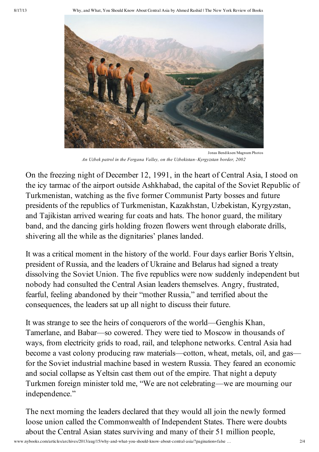

Jonas Bendiksen/Magnum Photos *An Uzbek patrol in the Fergana Valley, on the Uzbekistan–Kyrgyzstan border, 2002*

On the freezing night of December 12, 1991, in the heart of Central Asia, I stood on the icy tarmac of the airport outside Ashkhabad, the capital of the Soviet Republic of Turkmenistan, watching as the five former Communist Party bosses and future presidents of the republics of Turkmenistan, Kazakhstan, Uzbekistan, Kyrgyzstan, and Tajikistan arrived wearing fur coats and hats. The honor guard, the military band, and the dancing girls holding frozen flowers went through elaborate drills, shivering all the while as the dignitaries' planes landed.

It was a critical moment in the history of the world. Four days earlier Boris Yeltsin, president of Russia, and the leaders of Ukraine and Belarus had signed a treaty dissolving the Soviet Union. The five republics were now suddenly independent but nobody had consulted the Central Asian leaders themselves. Angry, frustrated, fearful, feeling abandoned by their "mother Russia," and terrified about the consequences, the leaders sat up all night to discuss their future.

It was strange to see the heirs of conquerors of the world—Genghis Khan, Tamerlane, and Babar—so cowered. They were tied to Moscow in thousands of ways, from electricity grids to road, rail, and telephone networks. Central Asia had become a vast colony producing raw materials—cotton, wheat, metals, oil, and gas for the Soviet industrial machine based in western Russia. They feared an economic and social collapse as Yeltsin cast them out of the empire. That night a deputy Turkmen foreign minister told me, "We are not celebrating—we are mourning our independence."

The next morning the leaders declared that they would all join the newly formed loose union called the Commonwealth of Independent States. There were doubts about the Central Asian states surviving and many of their 51 million people,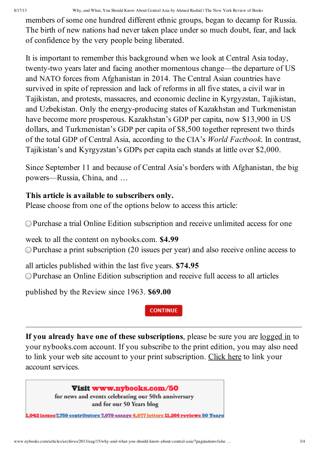8/17/13 Why, and What, You Should Know About Central Asia by Ahmed Rashid | The New York Review of Books

members of some one hundred different ethnic groups, began to decamp for Russia. The birth of new nations had never taken place under so much doubt, fear, and lack of confidence by the very people being liberated.

It is important to remember this background when we look at Central Asia today, twenty-two years later and facing another momentous change—the departure of US and NATO forces from Afghanistan in 2014. The Central Asian countries have survived in spite of repression and lack of reforms in all five states, a civil war in Tajikistan, and protests, massacres, and economic decline in Kyrgyzstan, Tajikistan, and Uzbekistan. Only the energy-producing states of Kazakhstan and Turkmenistan have become more prosperous. Kazakhstan's GDP per capita, now \$13,900 in US dollars, and Turkmenistan's GDP per capita of \$8,500 together represent two thirds of the total GDP of Central Asia, according to the CIA's *World Factbook*. In contrast, Tajikistan's and Kyrgyzstan's GDPs per capita each stands at little over \$2,000.

Since September 11 and because of Central Asia's borders with Afghanistan, the big powers—Russia, China, and …

## **This article is available to subscribers only.**

Please choose from one of the options below to access this article:

Purchase a trial Online Edition subscription and receive unlimited access for one

week to all the content on nybooks.com. **\$4.99**

 $\odot$  Purchase a print subscription (20 issues per year) and also receive online access to

all articles published within the last five years. **\$74.95**

Purchase an Online Edition subscription and receive full access to all articles

published by the Review since 1963. **\$69.00**

**CONTINUE** 

**If you already have one of these subscriptions**, please be sure you are [logged](http://www.nybooks.com/account/signin/?next=/articles/archives/2013/aug/15/why-and-what-you-should-know-about-central-asia/) in to your nybooks.com account. If you subscribe to the print edition, you may also need to link your web site account to your print subscription. [Click](http://www.nybooks.com/subscriptions/link/?next=/articles/archives/2013/aug/15/why-and-what-you-should-know-about-central-asia/) here to link your account services.